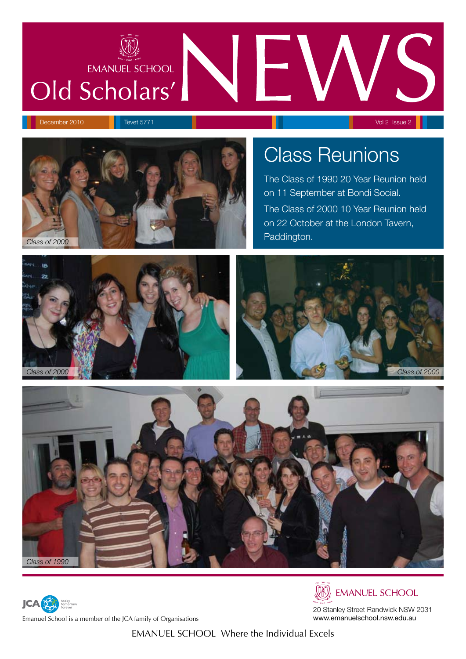# **EMANUEL SCHOOL** Old Scholars'





# Class Reunions

The Class of 1990 20 Year Reunion held on 11 September at Bondi Social. The Class of 2000 10 Year Reunion held on 22 October at the London Tavern,







Emanuel School is a member of the JCA family of Organisations



**EMANUEL SCHOOL** 

20 Stanley Street Randwick NSW 2031 www.emanuelschool.nsw.edu.au

EMANUEL SCHOOL Where the Individual Excels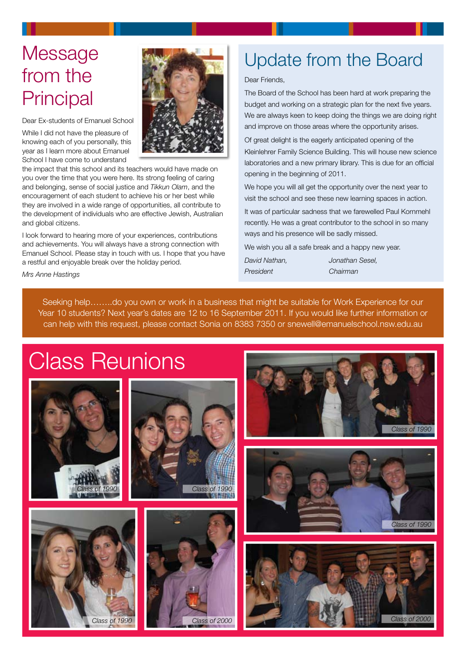# **Message** from the **Principal**

Dear Ex-students of Emanuel School

While I did not have the pleasure of knowing each of you personally, this year as I learn more about Emanuel School I have come to understand



the impact that this school and its teachers would have made on you over the time that you were here. Its strong feeling of caring and belonging, sense of social justice and *Tikkun Olam*, and the encouragement of each student to achieve his or her best while they are involved in a wide range of opportunities, all contribute to the development of individuals who are effective Jewish, Australian and global citizens.

I look forward to hearing more of your experiences, contributions and achievements. You will always have a strong connection with Emanuel School. Please stay in touch with us. I hope that you have a restful and enjoyable break over the holiday period.

# Update from the Board

#### Dear Friends,

The Board of the School has been hard at work preparing the budget and working on a strategic plan for the next five years. We are always keen to keep doing the things we are doing right and improve on those areas where the opportunity arises.

Of great delight is the eagerly anticipated opening of the Kleinlehrer Family Science Building. This will house new science laboratories and a new primary library. This is due for an official opening in the beginning of 2011.

We hope you will all get the opportunity over the next year to visit the school and see these new learning spaces in action.

It was of particular sadness that we farewelled Paul Kornmehl recently. He was a great contributor to the school in so many ways and his presence will be sadly missed.

We wish you all a safe break and a happy new year.

*David Nathan, Jonathan Sesel, President Chairman*

*Mrs Anne Hastings*

Seeking help……..do you own or work in a business that might be suitable for Work Experience for our Year 10 students? Next year's dates are 12 to 16 September 2011. If you would like further information or can help with this request, please contact Sonia on 8383 7350 or snewell@emanuelschool.nsw.edu.au

# Class Reunions











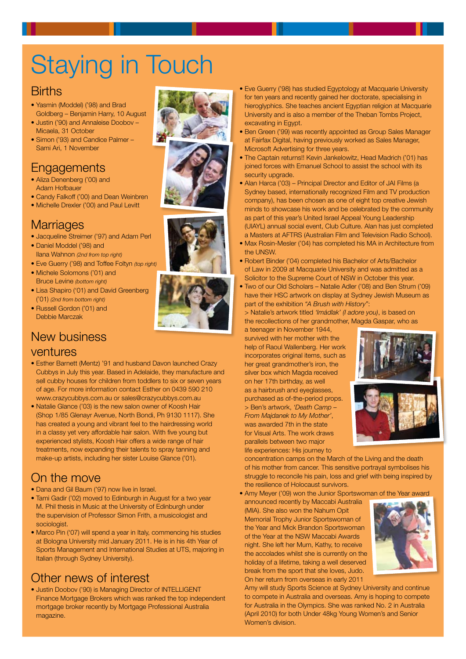# **Staying in Touch**

### **Births**

- Yasmin (Moddel) ('98) and Brad Goldberg – Benjamin Harry, 10 August
- Justin ('90) and Annaleise Doobov -Micaela, 31 October
- Simon ('93) and Candice Palmer -Sami Ari, 1 November

## **Engagements**

- Aliza Denenberg ('00) and Adam Hofbauer
- Candy Falkoff ('00) and Dean Weinbren • Michelle Drexler ('00) and Paul Levitt
- **Marriages**
- Jacqueline Streimer ('97) and Adam Perl
- Daniel Moddel ('98) and Ilana Wahnon *(2nd from top right)*
- Eve Guerry ('98) and Toffee Foltyn (top right)
- Michele Solomons ('01) and Bruce Levine *(bottom right)*
- Lisa Shapiro ('01) and David Greenberg ½ä£®Ê*(2nd from bottom right)*
- Russell Gordon ('01) and Debbie Marczak

## New business

#### ventures

- Esther Barnett (Mentz) '91 and husband Davon launched Crazy Cubbys in July this year. Based in Adelaide, they manufacture and sell cubby houses for children from toddlers to six or seven years of age. For more information contact Esther on 0439 590 210 www.crazycubbys.com.au or sales@crazycubbys.com.au
- Natalie Glance ('03) is the new salon owner of Koosh Hair (Shop 1/85 Glenayr Avenue, North Bondi, Ph 9130 1117). She has created a young and vibrant feel to the hairdressing world in a classy yet very affordable hair salon. With five young but experienced stylists, Koosh Hair offers a wide range of hair treatments, now expanding their talents to spray tanning and make-up artists, including her sister Louise Glance ('01).

## On the move

- Dana and Gil Baum ('97) now live in Israel.
- Tami Gadir ('02) moved to Edinburgh in August for a two year M. Phil thesis in Music at the University of Edinburgh under the supervision of Professor Simon Frith, a musicologist and sociologist.
- Marco Pin ('07) will spend a year in Italy, commencing his studies at Bologna University mid January 2011. He is in his 4th Year of Sports Management and International Studies at UTS, majoring in Italian (through Sydney University).

## Other news of interest

• Justin Doobov ('90) is Managing Director of INTELLIGENT Finance Mortgage Brokers which was ranked the top independent mortgage broker recently by Mortgage Professional Australia magazine.





- Eve Guerry ('98) has studied Egyptology at Macquarie University for ten years and recently gained her doctorate, specialising in hieroglyphics. She teaches ancient Egyptian religion at Macquarie University and is also a member of the Theban Tombs Project, excavating in Egypt.
- Ben Green ('99) was recently appointed as Group Sales Manager at Fairfax Digital, having previously worked as Sales Manager, Microsoft Advertising for three years.
- The Captain returns!! Kevin Jankelowitz, Head Madrich ('01) has joined forces with Emanuel School to assist the school with its security upgrade.
- Alan Harca ('03) Principal Director and Editor of JAI Films (a Sydney based, internationally recognized Film and TV production company), has been chosen as one of eight top creative Jewish minds to showcase his work and be celebrated by the community as part of this year's United Israel Appeal Young Leadership (UIAYL) annual social event, Club Culture. Alan has just completed a Masters at AFTRS (Australian Film and Television Radio School).
- Max Rosin-Mesler ('04) has completed his MA in Architecture from the UNSW.
- Robert Binder ('04) completed his Bachelor of Arts/Bachelor of Law in 2009 at Macquarie University and was admitted as a Solicitor to the Supreme Court of NSW in October this year.
- UE Two of our Old Scholars Natalie Adler ('08) and Ben Strum ('09) have their HSC artwork on display at Sydney Jewish Museum as part of the exhibition *"A Brush with History"*:

> Natalie's artwork titled *'Imádlak' (I adore you)*, is based on the recollections of her grandmother, Magda Gaspar, who as

a teenager in November 1944, survived with her mother with the help of Raoul Wallenberg. Her work incorporates original items, such as her great grandmother's iron, the silver box which Magda received on her 17th birthday, as well as a hairbrush and eyeglasses, purchased as of-the-period props. > Ben's artwork, *'Death Camp – From Majdanek to My Mother'*, was awarded 7th in the state for Visual Arts. The work draws parallels between two major life experiences: His journey to



concentration camps on the March of the Living and the death of his mother from cancer. This sensitive portrayal symbolises his struggle to reconcile his pain, loss and grief with being inspired by the resilience of Holocaust survivors.

• Amy Meyer ('09) won the Junior Sportswoman of the Year award

announced recently by Maccabi Australia (MIA). She also won the Nahum Opit Memorial Trophy Junior Sportswoman of the Year and Mick Brandon Sportswoman of the Year at the NSW Maccabi Awards night. She left her Mum, Kathy, to receive the accolades whilst she is currently on the holiday of a lifetime, taking a well deserved break from the sport that she loves, Judo. On her return from overseas in early 2011



Amy will study Sports Science at Sydney University and continue to compete in Australia and overseas. Amy is hoping to compete for Australia in the Olympics. She was ranked No. 2 in Australia (April 2010) for both Under 48kg Young Women's and Senior Women's division.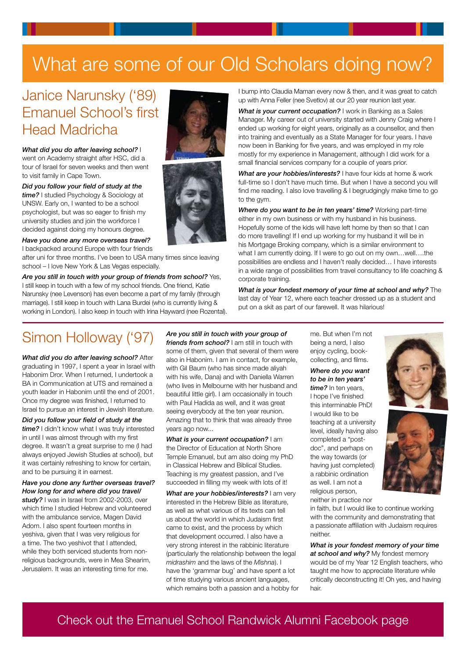# What are some of our Old Scholars doing now?

## Janice Narunsky ('89) Emanuel School's first Head Madricha

*What did you do after leaving school?* I went on Academy straight after HSC, did a tour of Israel for seven weeks and then went to visit family in Cape Town.

*Did you follow your field of study at the time?* I studied Psychology & Sociology at UNSW. Early on, I wanted to be a school psychologist, but was so eager to finish my university studies and join the workforce I decided against doing my honours degree.

*Have you done any more overseas travel?*

I backpacked around Europe with four friends

after uni for three months. I've been to USA many times since leaving school – I love New York & Las Vegas especially.

*Are you still in touch with your group of friends from school?* Yes, I still keep in touch with a few of my school friends. One friend, Katie Narunsky (nee Levenson) has even become a part of my family (through marriage). I still keep in touch with Lana Burdei (who is currently living & working in London). I also keep in touch with Irina Hayward (nee Rozental).

# Simon Holloway ('97)

*What did you do after leaving school?* After graduating in 1997, I spent a year in Israel with Habonim Dror. When I returned, I undertook a BA in Communication at UTS and remained a youth leader in Habonim until the end of 2001. Once my degree was finished, I returned to Israel to pursue an interest in Jewish literature.

*Did you follow your field of study at the time?* I didn't know what I was truly interested in until I was almost through with my first degree. It wasn't a great surprise to me (I had always enjoyed Jewish Studies at school), but it was certainly refreshing to know for certain, and to be pursuing it in earnest.

#### *Have you done any further overseas travel? How long for and where did you travel/*

*study?* I was in Israel from 2002-2003, over which time I studied Hebrew and volunteered with the ambulance service, Magen David Adom. I also spent fourteen months in yeshiva, given that I was very religious for a time. The two yeshivot that I attended, while they both serviced students from nonreligious backgrounds, were in Mea Shearim, Jerusalem. It was an interesting time for me.

*Are you still in touch with your group of friends from school?* I am still in touch with some of them, given that several of them were also in Habonim. I am in contact, for example, with Gil Baum (who has since made aliyah with his wife, Dana) and with Daniella Warren (who lives in Melbourne with her husband and beautiful little girl). I am occasionally in touch with Paul Hadida as well, and it was great seeing everybody at the ten year reunion. Amazing that to think that was already three years ago now...

*What is your current occupation?* I am the Director of Education at North Shore Temple Emanuel, but am also doing my PhD in Classical Hebrew and Biblical Studies. Teaching is my greatest passion, and I've succeeded in filling my week with lots of it!

*What are your hobbies/interests?* I am very interested in the Hebrew Bible as literature, as well as what various of its texts can tell us about the world in which Judaism first came to exist, and the process by which that development occurred. I also have a very strong interest in the rabbinic literature (particularly the relationship between the legal *midrashim* and the laws of the *Mishna*). I have the 'grammar bug' and have spent a lot of time studying various ancient languages, which remains both a passion and a hobby for

I bump into Claudia Maman every now & then, and it was great to catch up with Anna Feller (nee Svetlov) at our 20 year reunion last year.

*What is your current occupation?* I work in Banking as a Sales Manager. My career out of university started with Jenny Craig where I ended up working for eight years, originally as a counsellor, and then into training and eventually as a State Manager for four years. I have now been in Banking for five years, and was employed in my role mostly for my experience in Management, although I did work for a small financial services company for a couple of years prior.

*What are your hobbies/interests?* I have four kids at home & work full-time so I don't have much time. But when I have a second you will find me reading. I also love travelling & I begrudgingly make time to go to the gym.

*Where do you want to be in ten years' time?* Working part-time either in my own business or with my husband in his business. Hopefully some of the kids will have left home by then so that I can do more travelling! If I end up working for my husband it will be in his Mortgage Broking company, which is a similar environment to what I am currently doing. If I were to go out on my own…well….the possibilities are endless and I haven't really decided… I have interests in a wide range of possibilities from travel consultancy to life coaching & corporate training.

*What is your fondest memory of your time at school and why?* The last day of Year 12, where each teacher dressed up as a student and put on a skit as part of our farewell. It was hilarious!

> me. But when I'm not being a nerd, I also enjoy cycling, bookcollecting, and films.

*Where do you want to be in ten years' time?* In ten years, I hope I've finished this interminable PhD! I would like to be teaching at a university level, ideally having also completed a "postdoc", and perhaps on the way towards (or having just completed) a rabbinic ordination as well. I am not a religious person,

neither in practice nor in faith, but I would like to continue working with the community and demonstrating that a passionate affiliation with Judaism requires neither.

*What is your fondest memory of your time at school and why?* My fondest memory would be of my Year 12 English teachers, who taught me how to appreciate literature while critically deconstructing it! Oh yes, and having hair.